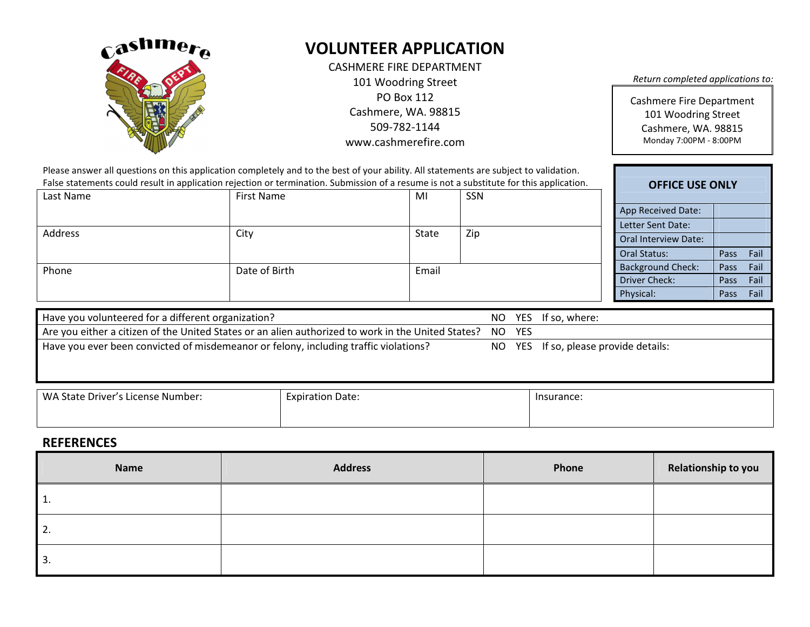

# VOLUNTEER APPLICATION

CASHMERE FIRE DEPARTMENT 101 Woodring Street PO Box 112 Cashmere, WA. 98815 509-782-1144 www.cashmerefire.com

Return completed applications to:

Cashmere Fire Department101 Woodring Street Cashmere, WA. 98815 Monday 7:00PM - 8:00PM

|           | Please answer all questions on this application completely and to the best of your ability. All statements are subject to validation.   |       |     |                             |                        |  |
|-----------|-----------------------------------------------------------------------------------------------------------------------------------------|-------|-----|-----------------------------|------------------------|--|
|           | False statements could result in application rejection or termination. Submission of a resume is not a substitute for this application. |       |     |                             | <b>OFFICE USE ONLY</b> |  |
| Last Name | First Name                                                                                                                              | MI    | SSN |                             |                        |  |
|           |                                                                                                                                         |       |     | App Received Date:          |                        |  |
|           |                                                                                                                                         |       |     | Letter Sent Date:           |                        |  |
| Address   | City                                                                                                                                    | State | Zip | <b>Oral Interview Date:</b> |                        |  |
|           |                                                                                                                                         |       |     | Oral Status:                | Fail<br><b>Pass</b>    |  |
| Phone     | Date of Birth                                                                                                                           | Email |     | <b>Background Check:</b>    | Fail<br>Pass           |  |
|           |                                                                                                                                         |       |     | Driver Check:               | Fail<br><b>Pass</b>    |  |
|           |                                                                                                                                         |       |     | Physical:                   | Fail<br>Pass           |  |

| Have you volunteered for a different organization?                                                        |  | NO YES If so, where:                  |
|-----------------------------------------------------------------------------------------------------------|--|---------------------------------------|
| Are you either a citizen of the United States or an alien authorized to work in the United States? NO YES |  |                                       |
| Have you ever been convicted of misdemeanor or felony, including traffic violations?                      |  | NO YES If so, please provide details: |

| WA State Driver's License Number: | <b>Expiration Date:</b> | Insurance: |
|-----------------------------------|-------------------------|------------|
|                                   |                         |            |

## **REFERENCES**

| <b>Name</b>      | <b>Address</b> | Phone | Relationship to you |
|------------------|----------------|-------|---------------------|
| $\vert 1.$       |                |       |                     |
| $\overline{2}$ . |                |       |                     |
| $\vert$ 3.       |                |       |                     |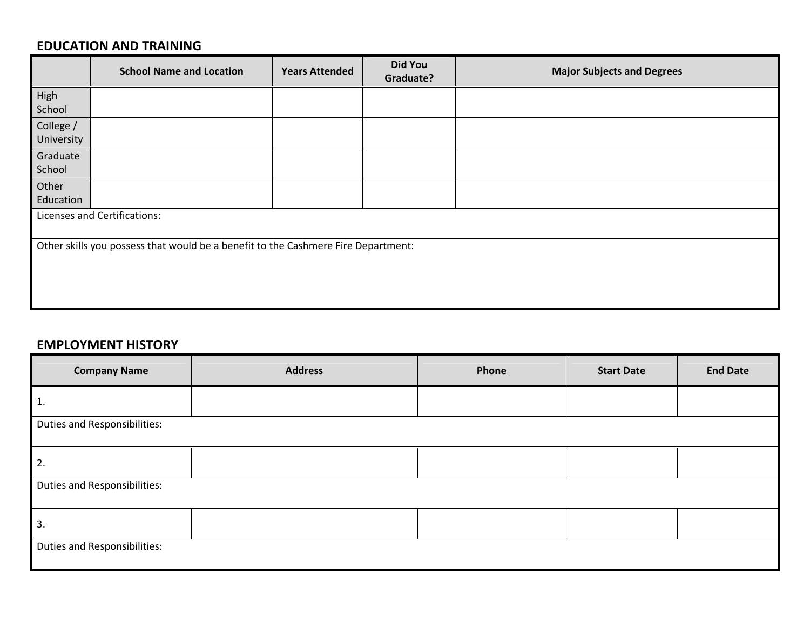#### EDUCATION AND TRAINING

|                         | <b>School Name and Location</b>                                                   | <b>Years Attended</b> | <b>Did You</b><br>Graduate? | <b>Major Subjects and Degrees</b> |
|-------------------------|-----------------------------------------------------------------------------------|-----------------------|-----------------------------|-----------------------------------|
| High<br>School          |                                                                                   |                       |                             |                                   |
| College /<br>University |                                                                                   |                       |                             |                                   |
| Graduate<br>School      |                                                                                   |                       |                             |                                   |
| Other<br>Education      |                                                                                   |                       |                             |                                   |
|                         | Licenses and Certifications:                                                      |                       |                             |                                   |
|                         | Other skills you possess that would be a benefit to the Cashmere Fire Department: |                       |                             |                                   |
|                         |                                                                                   |                       |                             |                                   |

## EMPLOYMENT HISTORY

| <b>Company Name</b>                 | <b>Address</b> | Phone | <b>Start Date</b> | <b>End Date</b> |
|-------------------------------------|----------------|-------|-------------------|-----------------|
| $\mathbf{1}$ .                      |                |       |                   |                 |
| Duties and Responsibilities:        |                |       |                   |                 |
| 2.                                  |                |       |                   |                 |
| <b>Duties and Responsibilities:</b> |                |       |                   |                 |
| 3.                                  |                |       |                   |                 |
| <b>Duties and Responsibilities:</b> |                |       |                   |                 |